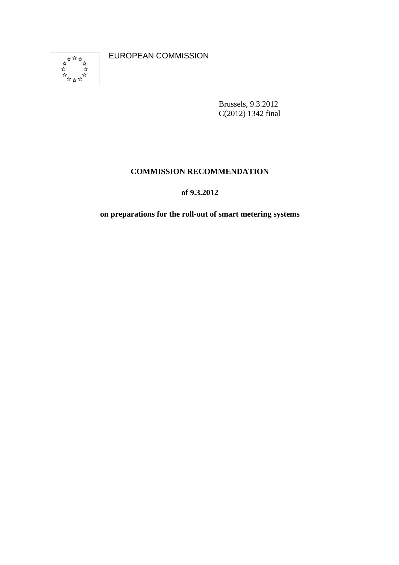

EUROPEAN COMMISSION

Brussels, 9.3.2012 C(2012) 1342 final

# **COMMISSION RECOMMENDATION**

## **of 9.3.2012**

**on preparations for the roll-out of smart metering systems**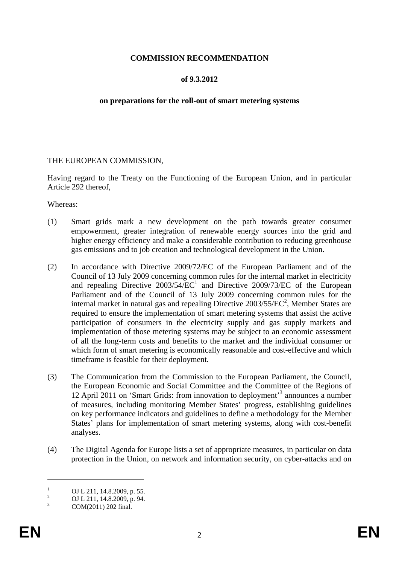### **COMMISSION RECOMMENDATION**

### **of 9.3.2012**

#### **on preparations for the roll-out of smart metering systems**

### THE EUROPEAN COMMISSION,

Having regard to the Treaty on the Functioning of the European Union, and in particular Article 292 thereof,

Whereas:

- (1) Smart grids mark a new development on the path towards greater consumer empowerment, greater integration of renewable energy sources into the grid and higher energy efficiency and make a considerable contribution to reducing greenhouse gas emissions and to job creation and technological development in the Union.
- (2) In accordance with Directive 2009/72/EC of the European Parliament and of the Council of 13 July 2009 concerning common rules for the internal market in electricity and repealing Directive  $2003/54/EC^1$  and Directive  $2009/73/EC$  of the European Parliament and of the Council of 13 July 2009 concerning common rules for the internal market in natural gas and repealing Directive  $2003/55/EC^2$ , Member States are required to ensure the implementation of smart metering systems that assist the active participation of consumers in the electricity supply and gas supply markets and implementation of those metering systems may be subject to an economic assessment of all the long-term costs and benefits to the market and the individual consumer or which form of smart metering is economically reasonable and cost-effective and which timeframe is feasible for their deployment.
- (3) The Communication from the Commission to the European Parliament, the Council, the European Economic and Social Committee and the Committee of the Regions of 12 April 2011 on 'Smart Grids: from innovation to deployment'3 announces a number of measures, including monitoring Member States' progress, establishing guidelines on key performance indicators and guidelines to define a methodology for the Member States' plans for implementation of smart metering systems, along with cost-benefit analyses.
- (4) The Digital Agenda for Europe lists a set of appropriate measures, in particular on data protection in the Union, on network and information security, on cyber-attacks and on

1

<sup>1</sup> OJ L 211, 14.8.2009, p. 55.

 $\overline{2}$ OJ L 211, 14.8.2009, p. 94.

<sup>3</sup> COM(2011) 202 final.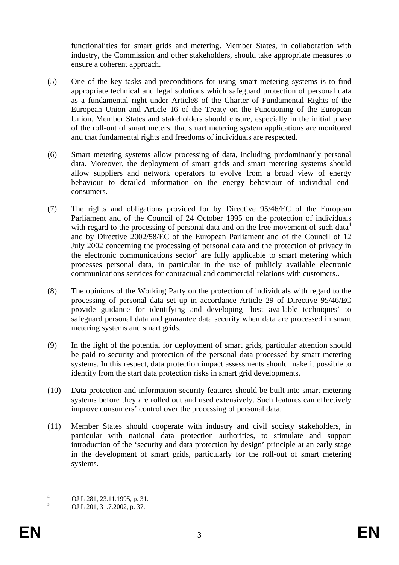functionalities for smart grids and metering. Member States, in collaboration with industry, the Commission and other stakeholders, should take appropriate measures to ensure a coherent approach.

- (5) One of the key tasks and preconditions for using smart metering systems is to find appropriate technical and legal solutions which safeguard protection of personal data as a fundamental right under Article8 of the Charter of Fundamental Rights of the European Union and Article 16 of the Treaty on the Functioning of the European Union. Member States and stakeholders should ensure, especially in the initial phase of the roll-out of smart meters, that smart metering system applications are monitored and that fundamental rights and freedoms of individuals are respected.
- (6) Smart metering systems allow processing of data, including predominantly personal data. Moreover, the deployment of smart grids and smart metering systems should allow suppliers and network operators to evolve from a broad view of energy behaviour to detailed information on the energy behaviour of individual endconsumers.
- (7) The rights and obligations provided for by Directive 95/46/EC of the European Parliament and of the Council of 24 October 1995 on the protection of individuals with regard to the processing of personal data and on the free movement of such data<sup>4</sup> and by Directive 2002/58/EC of the European Parliament and of the Council of 12 July 2002 concerning the processing of personal data and the protection of privacy in the electronic communications sector<sup>5</sup> are fully applicable to smart metering which processes personal data, in particular in the use of publicly available electronic communications services for contractual and commercial relations with customers..
- (8) The opinions of the Working Party on the protection of individuals with regard to the processing of personal data set up in accordance Article 29 of Directive 95/46/EC provide guidance for identifying and developing 'best available techniques' to safeguard personal data and guarantee data security when data are processed in smart metering systems and smart grids.
- (9) In the light of the potential for deployment of smart grids, particular attention should be paid to security and protection of the personal data processed by smart metering systems. In this respect, data protection impact assessments should make it possible to identify from the start data protection risks in smart grid developments.
- (10) Data protection and information security features should be built into smart metering systems before they are rolled out and used extensively. Such features can effectively improve consumers' control over the processing of personal data.
- (11) Member States should cooperate with industry and civil society stakeholders, in particular with national data protection authorities, to stimulate and support introduction of the 'security and data protection by design' principle at an early stage in the development of smart grids, particularly for the roll-out of smart metering systems.

<u>.</u>

<sup>4</sup> OJ L 281, 23.11.1995, p. 31.

<sup>5</sup> OJ L 201, 31.7.2002, p. 37.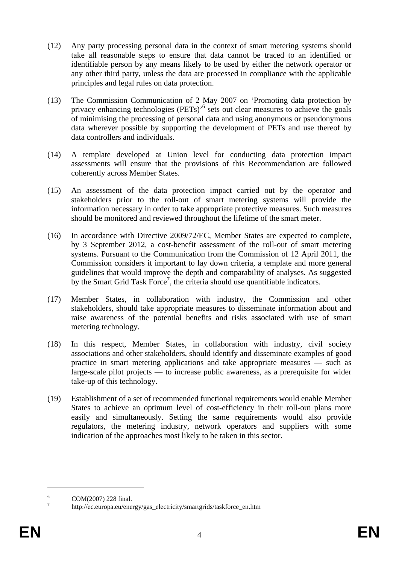- (12) Any party processing personal data in the context of smart metering systems should take all reasonable steps to ensure that data cannot be traced to an identified or identifiable person by any means likely to be used by either the network operator or any other third party, unless the data are processed in compliance with the applicable principles and legal rules on data protection.
- (13) The Commission Communication of 2 May 2007 on 'Promoting data protection by privacy enhancing technologies (PETs)<sup>56</sup> sets out clear measures to achieve the goals of minimising the processing of personal data and using anonymous or pseudonymous data wherever possible by supporting the development of PETs and use thereof by data controllers and individuals.
- (14) A template developed at Union level for conducting data protection impact assessments will ensure that the provisions of this Recommendation are followed coherently across Member States.
- (15) An assessment of the data protection impact carried out by the operator and stakeholders prior to the roll-out of smart metering systems will provide the information necessary in order to take appropriate protective measures. Such measures should be monitored and reviewed throughout the lifetime of the smart meter.
- (16) In accordance with Directive 2009/72/EC, Member States are expected to complete, by 3 September 2012, a cost-benefit assessment of the roll-out of smart metering systems. Pursuant to the Communication from the Commission of 12 April 2011, the Commission considers it important to lay down criteria, a template and more general guidelines that would improve the depth and comparability of analyses. As suggested by the Smart Grid Task Force<sup>7</sup>, the criteria should use quantifiable indicators.
- (17) Member States, in collaboration with industry, the Commission and other stakeholders, should take appropriate measures to disseminate information about and raise awareness of the potential benefits and risks associated with use of smart metering technology.
- (18) In this respect, Member States, in collaboration with industry, civil society associations and other stakeholders, should identify and disseminate examples of good practice in smart metering applications and take appropriate measures — such as large-scale pilot projects — to increase public awareness, as a prerequisite for wider take-up of this technology.
- (19) Establishment of a set of recommended functional requirements would enable Member States to achieve an optimum level of cost-efficiency in their roll-out plans more easily and simultaneously. Setting the same requirements would also provide regulators, the metering industry, network operators and suppliers with some indication of the approaches most likely to be taken in this sector.

<u>.</u>

<sup>6</sup> COM(2007) 228 final.

<sup>7</sup> http://ec.europa.eu/energy/gas\_electricity/smartgrids/taskforce\_en.htm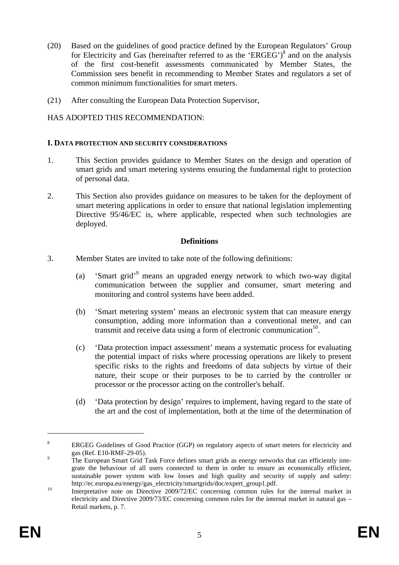- (20) Based on the guidelines of good practice defined by the European Regulators' Group for Electricity and Gas (hereinafter referred to as the 'ERGEG')<sup>8</sup> and on the analysis of the first cost-benefit assessments communicated by Member States, the Commission sees benefit in recommending to Member States and regulators a set of common minimum functionalities for smart meters.
- (21) After consulting the European Data Protection Supervisor,

## HAS ADOPTED THIS RECOMMENDATION:

### **I. DATA PROTECTION AND SECURITY CONSIDERATIONS**

- 1. This Section provides guidance to Member States on the design and operation of smart grids and smart metering systems ensuring the fundamental right to protection of personal data.
- 2. This Section also provides guidance on measures to be taken for the deployment of smart metering applications in order to ensure that national legislation implementing Directive 95/46/EC is, where applicable, respected when such technologies are deployed.

#### **Definitions**

- 3. Member States are invited to take note of the following definitions:
	- (a) 'Smart grid'9 means an upgraded energy network to which two-way digital communication between the supplier and consumer, smart metering and monitoring and control systems have been added.
	- (b) 'Smart metering system' means an electronic system that can measure energy consumption, adding more information than a conventional meter, and can transmit and receive data using a form of electronic communication $10$ .
	- (c) 'Data protection impact assessment' means a systematic process for evaluating the potential impact of risks where processing operations are likely to present specific risks to the rights and freedoms of data subjects by virtue of their nature, their scope or their purposes to be to carried by the controller or processor or the processor acting on the controller's behalf.
	- (d) 'Data protection by design' requires to implement, having regard to the state of the art and the cost of implementation, both at the time of the determination of

1

<sup>8</sup> ERGEG Guidelines of Good Practice (GGP) on regulatory aspects of smart meters for electricity and  $\frac{\text{gas (Ref. E10-RMF-29-05)}}{\text{cm}}$ .

The European Smart Grid Task Force defines smart grids as energy networks that can efficiently integrate the behaviour of all users connected to them in order to ensure an economically efficient, sustainable power system with low losses and high quality and security of supply and safety: http://ec.europa.eu/energy/gas\_electricity/smartgrids/doc/expert\_group1.pdf.<br><sup>10</sup> Interpretative note on Directive 2009/72/EC concerning common rules for the internal market in

electricity and Directive 2009/73/EC concerning common rules for the internal market in natural gas – Retail markets, p. 7.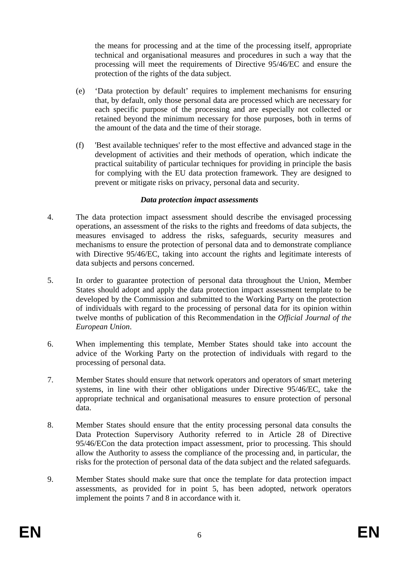the means for processing and at the time of the processing itself, appropriate technical and organisational measures and procedures in such a way that the processing will meet the requirements of Directive 95/46/EC and ensure the protection of the rights of the data subject.

- (e) 'Data protection by default' requires to implement mechanisms for ensuring that, by default, only those personal data are processed which are necessary for each specific purpose of the processing and are especially not collected or retained beyond the minimum necessary for those purposes, both in terms of the amount of the data and the time of their storage.
- (f) 'Best available techniques' refer to the most effective and advanced stage in the development of activities and their methods of operation, which indicate the practical suitability of particular techniques for providing in principle the basis for complying with the EU data protection framework. They are designed to prevent or mitigate risks on privacy, personal data and security.

## *Data protection impact assessments*

- 4. The data protection impact assessment should describe the envisaged processing operations, an assessment of the risks to the rights and freedoms of data subjects, the measures envisaged to address the risks, safeguards, security measures and mechanisms to ensure the protection of personal data and to demonstrate compliance with Directive 95/46/EC, taking into account the rights and legitimate interests of data subjects and persons concerned.
- 5. In order to guarantee protection of personal data throughout the Union, Member States should adopt and apply the data protection impact assessment template to be developed by the Commission and submitted to the Working Party on the protection of individuals with regard to the processing of personal data for its opinion within twelve months of publication of this Recommendation in the *Official Journal of the European Union*.
- 6. When implementing this template, Member States should take into account the advice of the Working Party on the protection of individuals with regard to the processing of personal data.
- 7. Member States should ensure that network operators and operators of smart metering systems, in line with their other obligations under Directive 95/46/EC, take the appropriate technical and organisational measures to ensure protection of personal data.
- 8. Member States should ensure that the entity processing personal data consults the Data Protection Supervisory Authority referred to in Article 28 of Directive 95/46/ECon the data protection impact assessment, prior to processing. This should allow the Authority to assess the compliance of the processing and, in particular, the risks for the protection of personal data of the data subject and the related safeguards.
- 9. Member States should make sure that once the template for data protection impact assessments, as provided for in point 5, has been adopted, network operators implement the points 7 and 8 in accordance with it.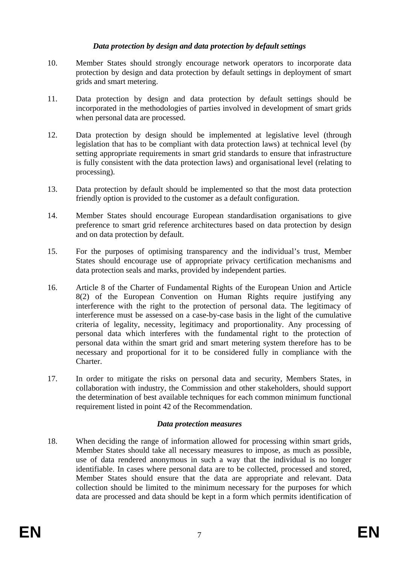## *Data protection by design and data protection by default settings*

- 10. Member States should strongly encourage network operators to incorporate data protection by design and data protection by default settings in deployment of smart grids and smart metering.
- 11. Data protection by design and data protection by default settings should be incorporated in the methodologies of parties involved in development of smart grids when personal data are processed.
- 12. Data protection by design should be implemented at legislative level (through legislation that has to be compliant with data protection laws) at technical level (by setting appropriate requirements in smart grid standards to ensure that infrastructure is fully consistent with the data protection laws) and organisational level (relating to processing).
- 13. Data protection by default should be implemented so that the most data protection friendly option is provided to the customer as a default configuration.
- 14. Member States should encourage European standardisation organisations to give preference to smart grid reference architectures based on data protection by design and on data protection by default.
- 15. For the purposes of optimising transparency and the individual's trust, Member States should encourage use of appropriate privacy certification mechanisms and data protection seals and marks, provided by independent parties.
- 16. Article 8 of the Charter of Fundamental Rights of the European Union and Article 8(2) of the European Convention on Human Rights require justifying any interference with the right to the protection of personal data. The legitimacy of interference must be assessed on a case-by-case basis in the light of the cumulative criteria of legality, necessity, legitimacy and proportionality. Any processing of personal data which interferes with the fundamental right to the protection of personal data within the smart grid and smart metering system therefore has to be necessary and proportional for it to be considered fully in compliance with the Charter.
- 17. In order to mitigate the risks on personal data and security, Members States, in collaboration with industry, the Commission and other stakeholders, should support the determination of best available techniques for each common minimum functional requirement listed in point 42 of the Recommendation.

## *Data protection measures*

18. When deciding the range of information allowed for processing within smart grids, Member States should take all necessary measures to impose, as much as possible, use of data rendered anonymous in such a way that the individual is no longer identifiable. In cases where personal data are to be collected, processed and stored, Member States should ensure that the data are appropriate and relevant. Data collection should be limited to the minimum necessary for the purposes for which data are processed and data should be kept in a form which permits identification of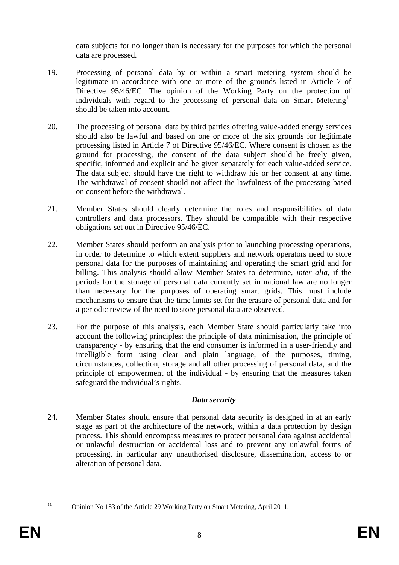data subjects for no longer than is necessary for the purposes for which the personal data are processed.

- 19. Processing of personal data by or within a smart metering system should be legitimate in accordance with one or more of the grounds listed in Article 7 of Directive 95/46/EC. The opinion of the Working Party on the protection of individuals with regard to the processing of personal data on Smart Metering<sup>11</sup> should be taken into account.
- 20. The processing of personal data by third parties offering value-added energy services should also be lawful and based on one or more of the six grounds for legitimate processing listed in Article 7 of Directive 95/46/EC. Where consent is chosen as the ground for processing, the consent of the data subject should be freely given, specific, informed and explicit and be given separately for each value-added service. The data subject should have the right to withdraw his or her consent at any time. The withdrawal of consent should not affect the lawfulness of the processing based on consent before the withdrawal.
- 21. Member States should clearly determine the roles and responsibilities of data controllers and data processors. They should be compatible with their respective obligations set out in Directive 95/46/EC.
- 22. Member States should perform an analysis prior to launching processing operations, in order to determine to which extent suppliers and network operators need to store personal data for the purposes of maintaining and operating the smart grid and for billing. This analysis should allow Member States to determine, *inter alia*, if the periods for the storage of personal data currently set in national law are no longer than necessary for the purposes of operating smart grids. This must include mechanisms to ensure that the time limits set for the erasure of personal data and for a periodic review of the need to store personal data are observed.
- 23. For the purpose of this analysis, each Member State should particularly take into account the following principles: the principle of data minimisation, the principle of transparency - by ensuring that the end consumer is informed in a user-friendly and intelligible form using clear and plain language, of the purposes, timing, circumstances, collection, storage and all other processing of personal data, and the principle of empowerment of the individual - by ensuring that the measures taken safeguard the individual's rights.

## *Data security*

24. Member States should ensure that personal data security is designed in at an early stage as part of the architecture of the network, within a data protection by design process. This should encompass measures to protect personal data against accidental or unlawful destruction or accidental loss and to prevent any unlawful forms of processing, in particular any unauthorised disclosure, dissemination, access to or alteration of personal data.

<sup>1</sup> 

<sup>&</sup>lt;sup>11</sup> Opinion No 183 of the Article 29 Working Party on Smart Metering, April 2011.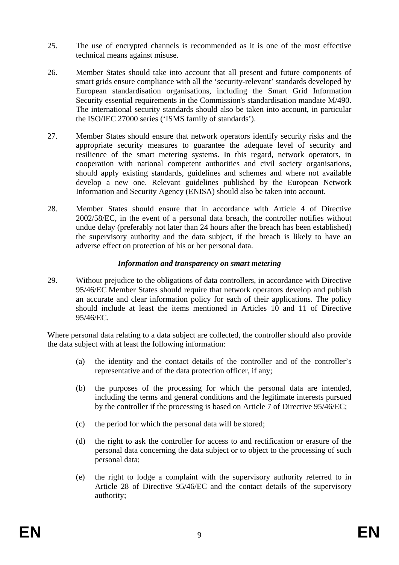- 25. The use of encrypted channels is recommended as it is one of the most effective technical means against misuse.
- 26. Member States should take into account that all present and future components of smart grids ensure compliance with all the 'security-relevant' standards developed by European standardisation organisations, including the Smart Grid Information Security essential requirements in the Commission's standardisation mandate M/490. The international security standards should also be taken into account, in particular the ISO/IEC 27000 series ('ISMS family of standards').
- 27. Member States should ensure that network operators identify security risks and the appropriate security measures to guarantee the adequate level of security and resilience of the smart metering systems. In this regard, network operators, in cooperation with national competent authorities and civil society organisations, should apply existing standards, guidelines and schemes and where not available develop a new one. Relevant guidelines published by the European Network Information and Security Agency (ENISA) should also be taken into account.
- 28. Member States should ensure that in accordance with Article 4 of Directive 2002/58/EC, in the event of a personal data breach, the controller notifies without undue delay (preferably not later than 24 hours after the breach has been established) the supervisory authority and the data subject, if the breach is likely to have an adverse effect on protection of his or her personal data.

## *Information and transparency on smart metering*

29. Without prejudice to the obligations of data controllers, in accordance with Directive 95/46/EC Member States should require that network operators develop and publish an accurate and clear information policy for each of their applications. The policy should include at least the items mentioned in Articles 10 and 11 of Directive 95/46/EC.

Where personal data relating to a data subject are collected, the controller should also provide the data subject with at least the following information:

- (a) the identity and the contact details of the controller and of the controller's representative and of the data protection officer, if any;
- (b) the purposes of the processing for which the personal data are intended, including the terms and general conditions and the legitimate interests pursued by the controller if the processing is based on Article 7 of Directive 95/46/EC;
- (c) the period for which the personal data will be stored;
- (d) the right to ask the controller for access to and rectification or erasure of the personal data concerning the data subject or to object to the processing of such personal data;
- (e) the right to lodge a complaint with the supervisory authority referred to in Article 28 of Directive 95/46/EC and the contact details of the supervisory authority;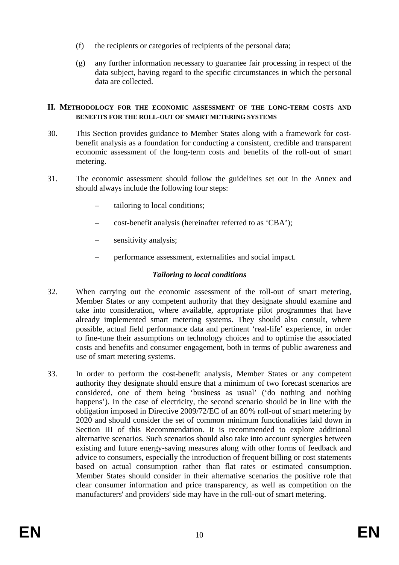- (f) the recipients or categories of recipients of the personal data;
- (g) any further information necessary to guarantee fair processing in respect of the data subject, having regard to the specific circumstances in which the personal data are collected.

### **II. METHODOLOGY FOR THE ECONOMIC ASSESSMENT OF THE LONG-TERM COSTS AND BENEFITS FOR THE ROLL-OUT OF SMART METERING SYSTEMS**

- 30. This Section provides guidance to Member States along with a framework for costbenefit analysis as a foundation for conducting a consistent, credible and transparent economic assessment of the long-term costs and benefits of the roll-out of smart metering.
- 31. The economic assessment should follow the guidelines set out in the Annex and should always include the following four steps:
	- tailoring to local conditions;
	- cost-benefit analysis (hereinafter referred to as 'CBA');
	- sensitivity analysis;
	- performance assessment, externalities and social impact.

# *Tailoring to local conditions*

- 32. When carrying out the economic assessment of the roll-out of smart metering, Member States or any competent authority that they designate should examine and take into consideration, where available, appropriate pilot programmes that have already implemented smart metering systems. They should also consult, where possible, actual field performance data and pertinent 'real-life' experience, in order to fine-tune their assumptions on technology choices and to optimise the associated costs and benefits and consumer engagement, both in terms of public awareness and use of smart metering systems.
- 33. In order to perform the cost-benefit analysis, Member States or any competent authority they designate should ensure that a minimum of two forecast scenarios are considered, one of them being 'business as usual' ('do nothing and nothing happens'). In the case of electricity, the second scenario should be in line with the obligation imposed in Directive 2009/72/EC of an 80% roll-out of smart metering by 2020 and should consider the set of common minimum functionalities laid down in Section III of this Recommendation. It is recommended to explore additional alternative scenarios. Such scenarios should also take into account synergies between existing and future energy-saving measures along with other forms of feedback and advice to consumers, especially the introduction of frequent billing or cost statements based on actual consumption rather than flat rates or estimated consumption. Member States should consider in their alternative scenarios the positive role that clear consumer information and price transparency, as well as competition on the manufacturers' and providers' side may have in the roll-out of smart metering.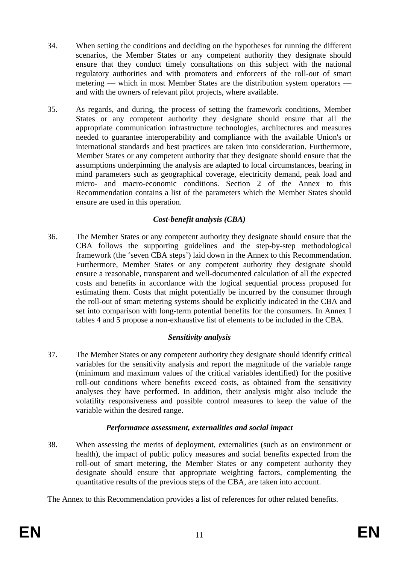- 34. When setting the conditions and deciding on the hypotheses for running the different scenarios, the Member States or any competent authority they designate should ensure that they conduct timely consultations on this subject with the national regulatory authorities and with promoters and enforcers of the roll-out of smart metering — which in most Member States are the distribution system operators and with the owners of relevant pilot projects, where available.
- 35. As regards, and during, the process of setting the framework conditions, Member States or any competent authority they designate should ensure that all the appropriate communication infrastructure technologies, architectures and measures needed to guarantee interoperability and compliance with the available Union's or international standards and best practices are taken into consideration. Furthermore, Member States or any competent authority that they designate should ensure that the assumptions underpinning the analysis are adapted to local circumstances, bearing in mind parameters such as geographical coverage, electricity demand, peak load and micro- and macro-economic conditions. Section 2 of the Annex to this Recommendation contains a list of the parameters which the Member States should ensure are used in this operation.

# *Cost-benefit analysis (CBA)*

36. The Member States or any competent authority they designate should ensure that the CBA follows the supporting guidelines and the step-by-step methodological framework (the 'seven CBA steps') laid down in the Annex to this Recommendation. Furthermore, Member States or any competent authority they designate should ensure a reasonable, transparent and well-documented calculation of all the expected costs and benefits in accordance with the logical sequential process proposed for estimating them. Costs that might potentially be incurred by the consumer through the roll-out of smart metering systems should be explicitly indicated in the CBA and set into comparison with long-term potential benefits for the consumers. In Annex I tables 4 and 5 propose a non-exhaustive list of elements to be included in the CBA.

# *Sensitivity analysis*

37. The Member States or any competent authority they designate should identify critical variables for the sensitivity analysis and report the magnitude of the variable range (minimum and maximum values of the critical variables identified) for the positive roll-out conditions where benefits exceed costs, as obtained from the sensitivity analyses they have performed. In addition, their analysis might also include the volatility responsiveness and possible control measures to keep the value of the variable within the desired range.

# *Performance assessment, externalities and social impact*

38. When assessing the merits of deployment, externalities (such as on environment or health), the impact of public policy measures and social benefits expected from the roll-out of smart metering, the Member States or any competent authority they designate should ensure that appropriate weighting factors, complementing the quantitative results of the previous steps of the CBA, are taken into account.

The Annex to this Recommendation provides a list of references for other related benefits.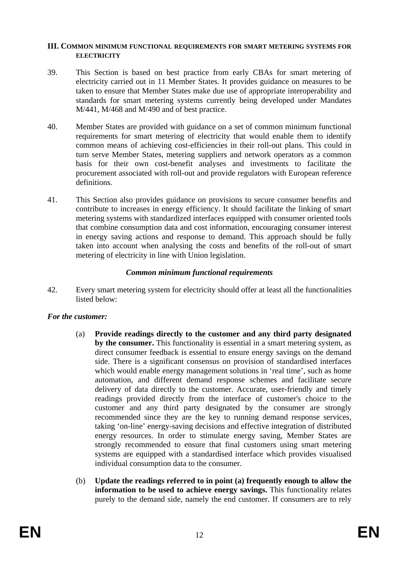#### **III. COMMON MINIMUM FUNCTIONAL REQUIREMENTS FOR SMART METERING SYSTEMS FOR ELECTRICITY**

- 39. This Section is based on best practice from early CBAs for smart metering of electricity carried out in 11 Member States. It provides guidance on measures to be taken to ensure that Member States make due use of appropriate interoperability and standards for smart metering systems currently being developed under Mandates M/441, M/468 and M/490 and of best practice.
- 40. Member States are provided with guidance on a set of common minimum functional requirements for smart metering of electricity that would enable them to identify common means of achieving cost-efficiencies in their roll-out plans. This could in turn serve Member States, metering suppliers and network operators as a common basis for their own cost-benefit analyses and investments to facilitate the procurement associated with roll-out and provide regulators with European reference definitions.
- 41. This Section also provides guidance on provisions to secure consumer benefits and contribute to increases in energy efficiency. It should facilitate the linking of smart metering systems with standardized interfaces equipped with consumer oriented tools that combine consumption data and cost information, encouraging consumer interest in energy saving actions and response to demand. This approach should be fully taken into account when analysing the costs and benefits of the roll-out of smart metering of electricity in line with Union legislation.

### *Common minimum functional requirements*

42. Every smart metering system for electricity should offer at least all the functionalities listed below:

## *For the customer:*

- (a) **Provide readings directly to the customer and any third party designated by the consumer.** This functionality is essential in a smart metering system, as direct consumer feedback is essential to ensure energy savings on the demand side. There is a significant consensus on provision of standardised interfaces which would enable energy management solutions in 'real time', such as home automation, and different demand response schemes and facilitate secure delivery of data directly to the customer. Accurate, user-friendly and timely readings provided directly from the interface of customer's choice to the customer and any third party designated by the consumer are strongly recommended since they are the key to running demand response services, taking 'on-line' energy-saving decisions and effective integration of distributed energy resources. In order to stimulate energy saving, Member States are strongly recommended to ensure that final customers using smart metering systems are equipped with a standardised interface which provides visualised individual consumption data to the consumer.
- (b) **Update the readings referred to in point (a) frequently enough to allow the information to be used to achieve energy savings.** This functionality relates purely to the demand side, namely the end customer. If consumers are to rely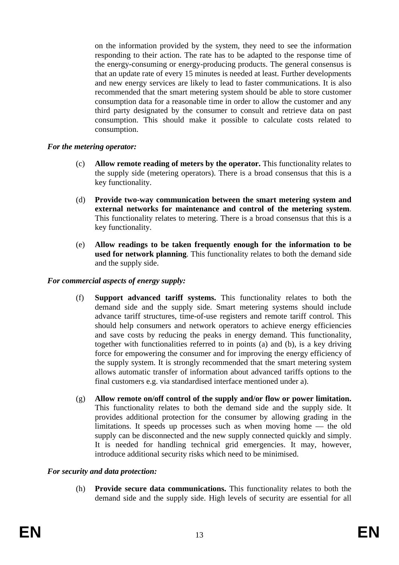on the information provided by the system, they need to see the information responding to their action. The rate has to be adapted to the response time of the energy-consuming or energy-producing products. The general consensus is that an update rate of every 15 minutes is needed at least. Further developments and new energy services are likely to lead to faster communications. It is also recommended that the smart metering system should be able to store customer consumption data for a reasonable time in order to allow the customer and any third party designated by the consumer to consult and retrieve data on past consumption. This should make it possible to calculate costs related to consumption.

## *For the metering operator:*

- (c) **Allow remote reading of meters by the operator.** This functionality relates to the supply side (metering operators). There is a broad consensus that this is a key functionality.
- (d) **Provide two-way communication between the smart metering system and external networks for maintenance and control of the metering system**. This functionality relates to metering. There is a broad consensus that this is a key functionality.
- (e) **Allow readings to be taken frequently enough for the information to be used for network planning**. This functionality relates to both the demand side and the supply side.

## *For commercial aspects of energy supply:*

- (f) **Support advanced tariff systems.** This functionality relates to both the demand side and the supply side. Smart metering systems should include advance tariff structures, time-of-use registers and remote tariff control. This should help consumers and network operators to achieve energy efficiencies and save costs by reducing the peaks in energy demand. This functionality, together with functionalities referred to in points (a) and (b), is a key driving force for empowering the consumer and for improving the energy efficiency of the supply system. It is strongly recommended that the smart metering system allows automatic transfer of information about advanced tariffs options to the final customers e.g. via standardised interface mentioned under a).
- (g) **Allow remote on/off control of the supply and/or flow or power limitation.** This functionality relates to both the demand side and the supply side. It provides additional protection for the consumer by allowing grading in the limitations. It speeds up processes such as when moving home — the old supply can be disconnected and the new supply connected quickly and simply. It is needed for handling technical grid emergencies. It may, however, introduce additional security risks which need to be minimised.

### *For security and data protection:*

(h) **Provide secure data communications.** This functionality relates to both the demand side and the supply side. High levels of security are essential for all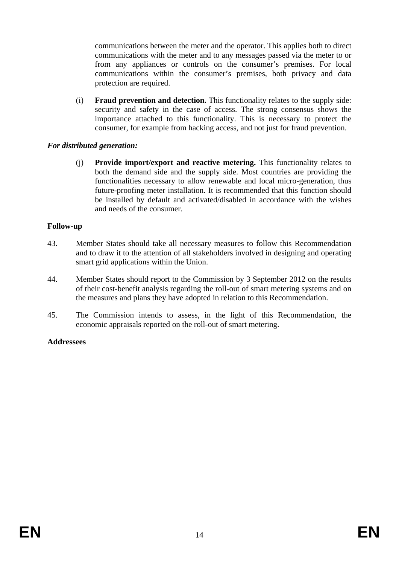communications between the meter and the operator. This applies both to direct communications with the meter and to any messages passed via the meter to or from any appliances or controls on the consumer's premises. For local communications within the consumer's premises, both privacy and data protection are required.

(i) **Fraud prevention and detection.** This functionality relates to the supply side: security and safety in the case of access. The strong consensus shows the importance attached to this functionality. This is necessary to protect the consumer, for example from hacking access, and not just for fraud prevention.

### *For distributed generation:*

(j) **Provide import/export and reactive metering.** This functionality relates to both the demand side and the supply side. Most countries are providing the functionalities necessary to allow renewable and local micro-generation, thus future-proofing meter installation. It is recommended that this function should be installed by default and activated/disabled in accordance with the wishes and needs of the consumer.

## **Follow-up**

- 43. Member States should take all necessary measures to follow this Recommendation and to draw it to the attention of all stakeholders involved in designing and operating smart grid applications within the Union.
- 44. Member States should report to the Commission by 3 September 2012 on the results of their cost-benefit analysis regarding the roll-out of smart metering systems and on the measures and plans they have adopted in relation to this Recommendation.
- 45. The Commission intends to assess, in the light of this Recommendation, the economic appraisals reported on the roll-out of smart metering.

### **Addressees**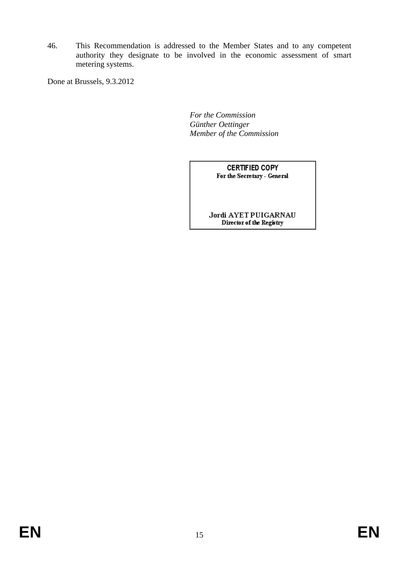46. This Recommendation is addressed to the Member States and to any competent authority they designate to be involved in the economic assessment of smart metering systems.

Done at Brussels, 9.3.2012

 *For the Commission Günther Oettinger Member of the Commission* 

#### **CERTIFIED COPY** For the Secretary - General

Jordi AYET PUIGARNAU Director of the Registry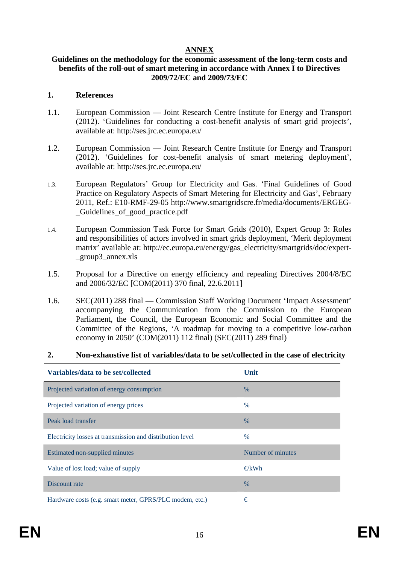# **ANNEX**

### **Guidelines on the methodology for the economic assessment of the long-term costs and benefits of the roll-out of smart metering in accordance with Annex I to Directives 2009/72/EC and 2009/73/EC**

### **1. References**

- 1.1. European Commission Joint Research Centre Institute for Energy and Transport (2012). 'Guidelines for conducting a cost-benefit analysis of smart grid projects', available at: http://ses.jrc.ec.europa.eu/
- 1.2. European Commission Joint Research Centre Institute for Energy and Transport (2012). 'Guidelines for cost-benefit analysis of smart metering deployment', available at: http://ses.jrc.ec.europa.eu/
- 1.3. European Regulators' Group for Electricity and Gas. 'Final Guidelines of Good Practice on Regulatory Aspects of Smart Metering for Electricity and Gas', February 2011, Ref.: E10-RMF-29-05 http://www.smartgridscre.fr/media/documents/ERGEG- \_Guidelines\_of\_good\_practice.pdf
- 1.4. European Commission Task Force for Smart Grids (2010), Expert Group 3: Roles and responsibilities of actors involved in smart grids deployment, 'Merit deployment matrix' available at: http://ec.europa.eu/energy/gas\_electricity/smartgrids/doc/expert- \_group3\_annex.xls
- 1.5. Proposal for a Directive on energy efficiency and repealing Directives 2004/8/EC and 2006/32/EC [COM(2011) 370 final, 22.6.2011]
- 1.6. SEC(2011) 288 final Commission Staff Working Document 'Impact Assessment' accompanying the Communication from the Commission to the European Parliament, the Council, the European Economic and Social Committee and the Committee of the Regions, 'A roadmap for moving to a competitive low-carbon economy in 2050' (COM(2011) 112 final) (SEC(2011) 289 final)

#### **2. Non-exhaustive list of variables/data to be set/collected in the case of electricity**

| Variables/data to be set/collected                        | Unit              |
|-----------------------------------------------------------|-------------------|
| Projected variation of energy consumption                 | $\%$              |
| Projected variation of energy prices                      | $\%$              |
| Peak load transfer                                        | $\%$              |
| Electricity losses at transmission and distribution level | $\%$              |
| Estimated non-supplied minutes                            | Number of minutes |
| Value of lost load; value of supply                       | $\oplus$ kWh      |
| Discount rate                                             | $\%$              |
| Hardware costs (e.g. smart meter, GPRS/PLC modem, etc.)   | €                 |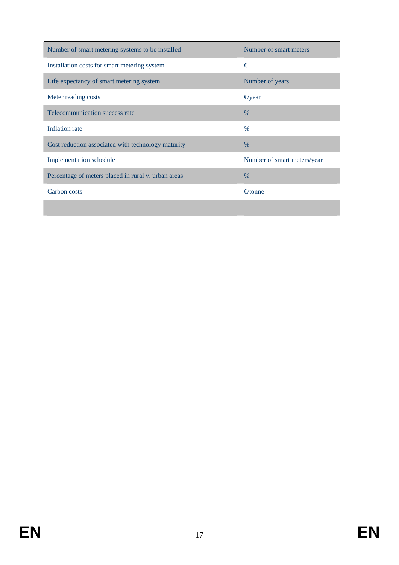| Number of smart metering systems to be installed    | Number of smart meters      |
|-----------------------------------------------------|-----------------------------|
| Installation costs for smart metering system        | €                           |
| Life expectancy of smart metering system            | Number of years             |
| Meter reading costs                                 | $\Theta$ year               |
| Telecommunication success rate                      | $\%$                        |
| Inflation rate                                      | $\%$                        |
| Cost reduction associated with technology maturity  | $\%$                        |
| Implementation schedule                             | Number of smart meters/year |
| Percentage of meters placed in rural v. urban areas | $\%$                        |
| Carbon costs                                        | $\Theta$ tonne              |
|                                                     |                             |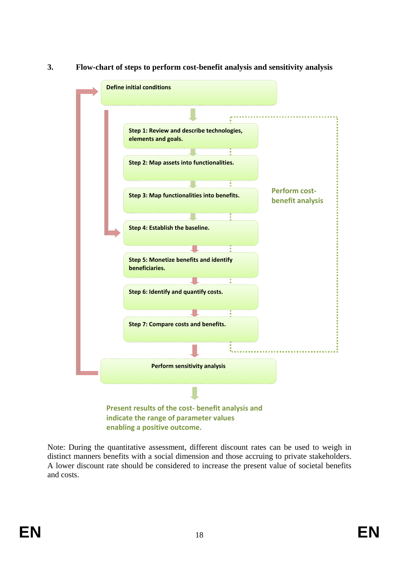

## **3. Flow-chart of steps to perform cost-benefit analysis and sensitivity analysis**

Note: During the quantitative assessment, different discount rates can be used to weigh in distinct manners benefits with a social dimension and those accruing to private stakeholders. A lower discount rate should be considered to increase the present value of societal benefits and costs.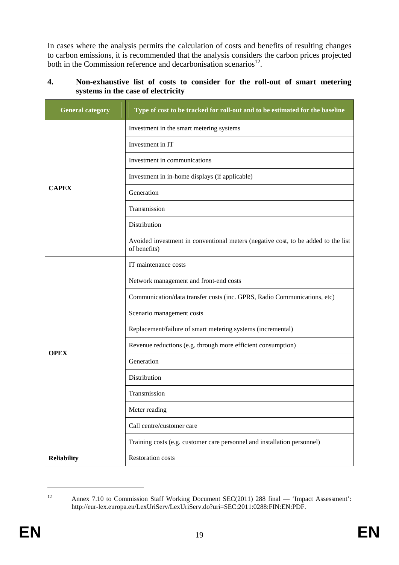In cases where the analysis permits the calculation of costs and benefits of resulting changes to carbon emissions, it is recommended that the analysis considers the carbon prices projected both in the Commission reference and decarbonisation scenarios<sup>12</sup>.

### **4. Non-exhaustive list of costs to consider for the roll-out of smart metering systems in the case of electricity**

| <b>General category</b> | Type of cost to be tracked for roll-out and to be estimated for the baseline                      |  |  |
|-------------------------|---------------------------------------------------------------------------------------------------|--|--|
| <b>CAPEX</b>            | Investment in the smart metering systems                                                          |  |  |
|                         | Investment in IT                                                                                  |  |  |
|                         | Investment in communications                                                                      |  |  |
|                         | Investment in in-home displays (if applicable)                                                    |  |  |
|                         | Generation                                                                                        |  |  |
|                         | Transmission                                                                                      |  |  |
|                         | Distribution                                                                                      |  |  |
|                         | Avoided investment in conventional meters (negative cost, to be added to the list<br>of benefits) |  |  |
| <b>OPEX</b>             | IT maintenance costs                                                                              |  |  |
|                         | Network management and front-end costs                                                            |  |  |
|                         | Communication/data transfer costs (inc. GPRS, Radio Communications, etc)                          |  |  |
|                         | Scenario management costs                                                                         |  |  |
|                         | Replacement/failure of smart metering systems (incremental)                                       |  |  |
|                         | Revenue reductions (e.g. through more efficient consumption)                                      |  |  |
|                         | Generation                                                                                        |  |  |
|                         | Distribution                                                                                      |  |  |
|                         | Transmission                                                                                      |  |  |
|                         | Meter reading                                                                                     |  |  |
|                         | Call centre/customer care                                                                         |  |  |
|                         | Training costs (e.g. customer care personnel and installation personnel)                          |  |  |
| <b>Reliability</b>      | <b>Restoration costs</b>                                                                          |  |  |

<sup>&</sup>lt;sup>12</sup> Annex 7.10 to Commission Staff Working Document SEC(2011) 288 final — 'Impact Assessment': http://eur-lex.europa.eu/LexUriServ/LexUriServ.do?uri=SEC:2011:0288:FIN:EN:PDF.

<u>.</u>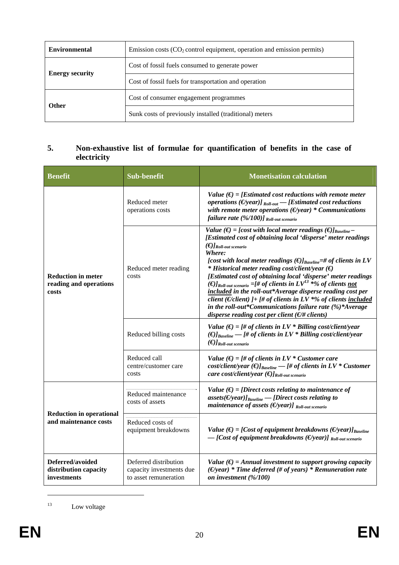| <b>Environmental</b>   | Emission costs $(CO2 control equipment, operation and emission permits)$ |  |
|------------------------|--------------------------------------------------------------------------|--|
| <b>Energy security</b> | Cost of fossil fuels consumed to generate power                          |  |
|                        | Cost of fossil fuels for transportation and operation                    |  |
| <b>Other</b>           | Cost of consumer engagement programmes                                   |  |
|                        | Sunk costs of previously installed (traditional) meters                  |  |

## **5. Non-exhaustive list of formulae for quantification of benefits in the case of electricity**

| <b>Benefit</b>                                               | Sub-benefit                                                                | <b>Monetisation calculation</b>                                                                                                                                                                                                                                                                                                                                                                                                                                                                                                                                                                                                                                                                                                                                                              |
|--------------------------------------------------------------|----------------------------------------------------------------------------|----------------------------------------------------------------------------------------------------------------------------------------------------------------------------------------------------------------------------------------------------------------------------------------------------------------------------------------------------------------------------------------------------------------------------------------------------------------------------------------------------------------------------------------------------------------------------------------------------------------------------------------------------------------------------------------------------------------------------------------------------------------------------------------------|
| <b>Reduction in meter</b><br>reading and operations<br>costs | Reduced meter<br>operations costs                                          | Value $(\epsilon)$ = [Estimated cost reductions with remote meter<br>operations ( $\epsilon$ /year)] <sub>Roll-out</sub> — [Estimated cost reductions<br>with remote meter operations ( $\epsilon$ /year) * Communications<br>failure rate (%/100)] Roll-out scenario                                                                                                                                                                                                                                                                                                                                                                                                                                                                                                                        |
|                                                              | Reduced meter reading<br>costs                                             | Value ( $\epsilon$ ) = [cost with local meter readings ( $\epsilon$ )] <sub>Baseline</sub> –<br>[Estimated cost of obtaining local 'disperse' meter readings<br>$(\epsilon)$ Roll-out scenario<br>Where:<br>[cost with local meter readings $(\epsilon)$ ] <sub>Baseline</sub> =# of clients in LV<br>* Historical meter reading cost/client/year $(\epsilon)$<br>[Estimated cost of obtaining local 'disperse' meter readings<br>(€)] <sub>Roll-out scenario</sub> =[# of clients in $LV^{13}$ *% of clients <u>not</u><br>included in the roll-out*Average disperse reading cost per<br>client ( $\epsilon$ /client) ]+ [# of clients in LV *% of clients included<br>in the roll-out*Communications failure rate (%)*Average<br>disperse reading cost per client ( $\epsilon$ /# clients) |
|                                                              | Reduced billing costs                                                      | Value $(\epsilon) = [H \text{ of clients in LV} * Billing cost/client/year$<br>(€) $I_{\text{Baseline}}$ – [# of clients in LV * Billing cost/client/year<br>$(\epsilon)$ Roll-out scenario                                                                                                                                                                                                                                                                                                                                                                                                                                                                                                                                                                                                  |
|                                                              | Reduced call<br>centre/customer care<br>costs                              | <i>Value</i> ( $\epsilon$ ) = [# of clients in LV * Customer care<br>cost/client/year $(\epsilon)$ ] <sub>Baseline</sub> — [# of clients in LV * Customer<br>care cost/client/year $(\epsilon)$ ] <sub>Roll-out scenario</sub>                                                                                                                                                                                                                                                                                                                                                                                                                                                                                                                                                               |
| <b>Reduction in operational</b><br>and maintenance costs     | Reduced maintenance<br>costs of assets                                     | Value $(\epsilon)$ = [Direct costs relating to maintenance of<br>assets(€/year)] $_{\text{Baseline}}$ - [Direct costs relating to<br>maintenance of assets ( $\epsilon$ /year)] Roll-out scenario                                                                                                                                                                                                                                                                                                                                                                                                                                                                                                                                                                                            |
|                                                              | Reduced costs of<br>equipment breakdowns                                   | Value ( $\epsilon$ ) = [Cost of equipment breakdowns ( $\epsilon$ /year)] <sub>Baseline</sub><br>— [Cost of equipment breakdowns (€/year)] Roll-out scenario                                                                                                                                                                                                                                                                                                                                                                                                                                                                                                                                                                                                                                 |
| Deferred/avoided<br>distribution capacity<br>investments     | Deferred distribution<br>capacity investments due<br>to asset remuneration | Value $(\epsilon)$ = Annual investment to support growing capacity<br>$(\epsilon$ /year) * Time deferred (# of years) * Remuneration rate<br>on investment (%/100)                                                                                                                                                                                                                                                                                                                                                                                                                                                                                                                                                                                                                           |

<sup>&</sup>lt;sup>13</sup> Low voltage

1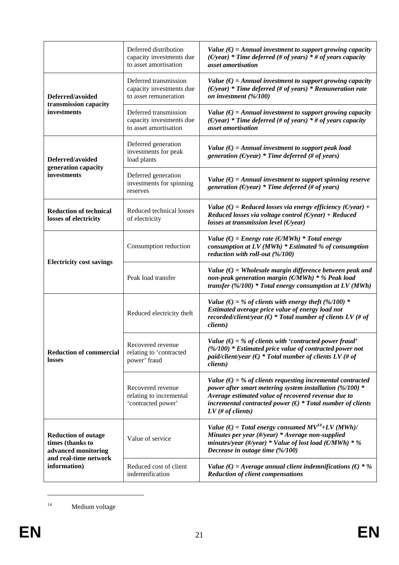|                                                                                                                | Deferred distribution<br>capacity investments due<br>to asset amortisation | Value $(\epsilon)$ = Annual investment to support growing capacity<br>( $\epsilon$ /year) * Time deferred (# of years) * # of years capacity<br>asset amortisation                                                                                                                              |
|----------------------------------------------------------------------------------------------------------------|----------------------------------------------------------------------------|-------------------------------------------------------------------------------------------------------------------------------------------------------------------------------------------------------------------------------------------------------------------------------------------------|
| Deferred/avoided<br>transmission capacity<br>investments                                                       | Deferred transmission<br>capacity investments due<br>to asset remuneration | Value $(\epsilon)$ = Annual investment to support growing capacity<br>$(\epsilon$ /year) * Time deferred (# of years) * Remuneration rate<br>on investment (%/100)                                                                                                                              |
|                                                                                                                | Deferred transmission<br>capacity investments due<br>to asset amortisation | Value $(\epsilon)$ = Annual investment to support growing capacity<br>( $\epsilon$ /year) * Time deferred (# of years) * # of years capacity<br>asset amortisation                                                                                                                              |
| Deferred/avoided<br>generation capacity<br>investments                                                         | Deferred generation<br>investments for peak<br>load plants                 | Value $(\epsilon)$ = Annual investment to support peak load<br>generation ( $\epsilon$ /year) * Time deferred (# of years)                                                                                                                                                                      |
|                                                                                                                | Deferred generation<br>investments for spinning<br>reserves                | Value $(\epsilon)$ = Annual investment to support spinning reserve<br>generation ( $\epsilon$ /year) * Time deferred (# of years)                                                                                                                                                               |
| <b>Reduction of technical</b><br>losses of electricity                                                         | Reduced technical losses<br>of electricity                                 | Value $(\epsilon)$ = Reduced losses via energy efficiency $(\epsilon$ /year) +<br>Reduced losses via voltage control ( $\epsilon$ /year) + Reduced<br>losses at transmission level $(\epsilon y)$ year)                                                                                         |
| <b>Electricity cost savings</b>                                                                                | Consumption reduction                                                      | Value $(\epsilon)$ = Energy rate $(\epsilon/MWh)^*$ Total energy<br>consumption at $LV(MWh) * Estimated % of consumption$<br>reduction with roll-out (%/100)                                                                                                                                    |
|                                                                                                                | Peak load transfer                                                         | Value $(\epsilon)$ = Wholesale margin difference between peak and<br>non-peak generation margin $(\text{\ensuremath{\mathfrak{C}}}/MWh)$ * % Peak load<br>transfer $(\frac{\%}{100})$ * Total energy consumption at LV (MWh)                                                                    |
| <b>Reduction of commercial</b><br>losses                                                                       | Reduced electricity theft                                                  | Value ( $\epsilon$ ) = % of clients with energy theft (%/100) *<br>Estimated average price value of energy load not<br>recorded/client/year $(\epsilon)$ * Total number of clients LV (# of<br><i>clients</i> )                                                                                 |
|                                                                                                                | Recovered revenue<br>relating to 'contracted<br>power' fraud               | Value $(\epsilon)$ = % of clients with 'contracted power fraud'<br>$(\frac{9}{6}/100)$ * Estimated price value of contracted power not<br>paid/client/year $(\epsilon)$ * Total number of clients LV (# of<br>clients)                                                                          |
|                                                                                                                | Recovered revenue<br>relating to incremental<br>'contracted power'         | Value $(\epsilon)$ = % of clients requesting incremental contracted<br>power after smart metering system installation $(\frac{\%}{100})$ *<br>Average estimated value of recovered revenue due to<br>incremental contracted power $(\epsilon)$ * Total number of clients<br>$LV$ (# of clients) |
| <b>Reduction of outage</b><br>times (thanks to<br>advanced monitoring<br>and real-time network<br>information) | Value of service                                                           | Value ( $\epsilon$ ) = Total energy consumed $MV^{14}+LV(MWh)/$<br>Minutes per year (#/year) * Average non-supplied<br>minutes/year (#/year) * Value of lost load ( $\epsilon$ /MWh) * %<br>Decrease in outage time (%/100)                                                                     |
|                                                                                                                | Reduced cost of client<br>indemnification                                  | Value ( $\epsilon$ ) = Average annual client indemnifications ( $\epsilon$ ) * %<br><b>Reduction of client compensations</b>                                                                                                                                                                    |

<sup>&</sup>lt;sup>14</sup> Medium voltage

1